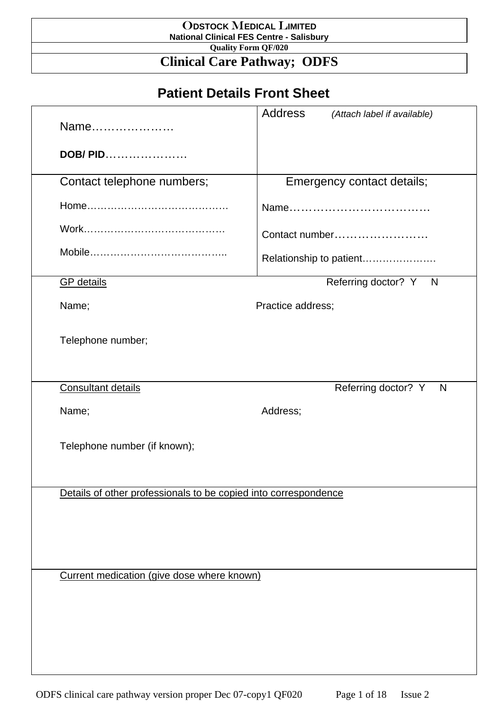#### O**DSTOCK** M**EDICAL** L**IMITED National Clinical FES Centre - Salisbury**

**Quality Form QF/020** 

#### **Clinical Care Pathway; ODFS**

## **Patient Details Front Sheet**

| Name                                                            | Address<br>(Attach label if available) |
|-----------------------------------------------------------------|----------------------------------------|
| DOB/ PID                                                        |                                        |
| Contact telephone numbers;                                      | Emergency contact details;             |
|                                                                 |                                        |
|                                                                 | Contact number                         |
|                                                                 | Relationship to patient                |
| <b>GP</b> details                                               | Referring doctor? Y N                  |
| Name;                                                           | Practice address;                      |
| Telephone number;                                               |                                        |
| <b>Consultant details</b>                                       | Referring doctor? Y<br>N               |
| Name;                                                           | Address;                               |
| Telephone number (if known);                                    |                                        |
| Details of other professionals to be copied into correspondence |                                        |
|                                                                 |                                        |
|                                                                 |                                        |
| Current medication (give dose where known)                      |                                        |
|                                                                 |                                        |
|                                                                 |                                        |
|                                                                 |                                        |
|                                                                 |                                        |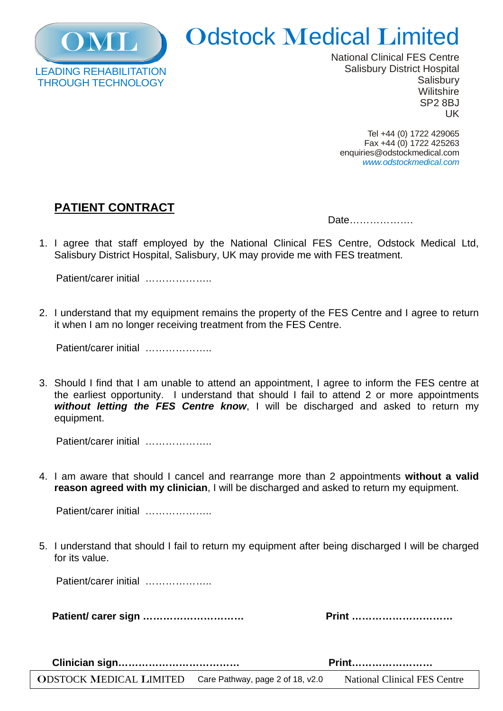

# **Odstock Medical Limited**

National Clinical FES Centre Salisbury District Hospital **Salisbury Wilitshire** SP2 8BJ UK

Tel +44 (0) 1722 429065 Fax +44 (0) 1722 425263 enquiries@odstockmedical.com *www.odstockmedical.com*

#### **PATIENT CONTRACT**

| Date |  |
|------|--|
|------|--|

1. I agree that staff employed by the National Clinical FES Centre, Odstock Medical Ltd, Salisbury District Hospital, Salisbury, UK may provide me with FES treatment.

Patient/carer initial …………………

2. I understand that my equipment remains the property of the FES Centre and I agree to return it when I am no longer receiving treatment from the FES Centre.

Patient/carer initial …………………

3. Should I find that I am unable to attend an appointment, I agree to inform the FES centre at the earliest opportunity. I understand that should I fail to attend 2 or more appointments *without letting the FES Centre know*, I will be discharged and asked to return my equipment.

Patient/carer initial …………………

4. I am aware that should I cancel and rearrange more than 2 appointments **without a valid reason agreed with my clinician**, I will be discharged and asked to return my equipment.

Patient/carer initial …………………

5. I understand that should I fail to return my equipment after being discharged I will be charged for its value.

Patient/carer initial ……………………

 **Patient/ carer sign ………………………… Print …………………………** 

 **Clinician sign……………………………… Print……………………**

ODSTOCK MEDICAL LIMITED Care Pathway, page 2 of 18, v2.0 National Clinical FES Centre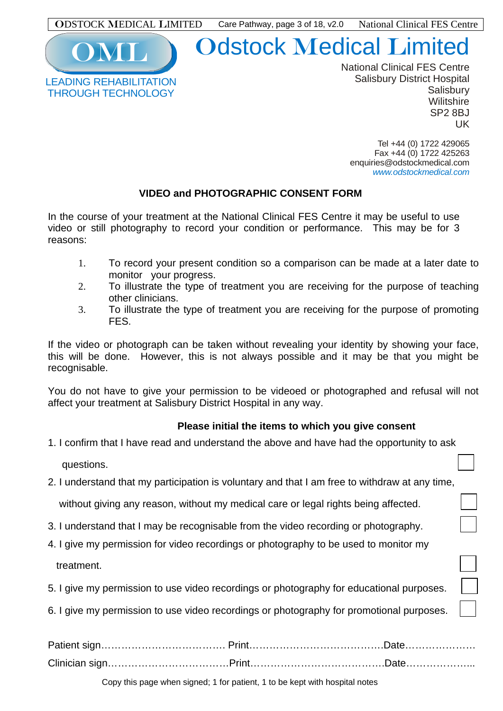

## **Odstock Medical Limited**

National Clinical FES Centre Salisbury District Hospital **Salisbury Wilitshire** SP2 8BJ UK

Tel +44 (0) 1722 429065 Fax +44 (0) 1722 425263 enquiries@odstockmedical.com *www.odstockmedical.com*

#### **VIDEO and PHOTOGRAPHIC CONSENT FORM**

In the course of your treatment at the National Clinical FES Centre it may be useful to use video or still photography to record your condition or performance. This may be for 3 reasons:

- 1. To record your present condition so a comparison can be made at a later date to monitor your progress.
- 2. To illustrate the type of treatment you are receiving for the purpose of teaching other clinicians.
- 3. To illustrate the type of treatment you are receiving for the purpose of promoting FES.

If the video or photograph can be taken without revealing your identity by showing your face, this will be done. However, this is not always possible and it may be that you might be recognisable.

You do not have to give your permission to be videoed or photographed and refusal will not affect your treatment at Salisbury District Hospital in any way.

#### **Please initial the items to which you give consent**

- 1. I confirm that I have read and understand the above and have had the opportunity to ask questions.
- 2. I understand that my participation is voluntary and that I am free to withdraw at any time,

without giving any reason, without my medical care or legal rights being affected.

- 3. I understand that I may be recognisable from the video recording or photography.
- 4. I give my permission for video recordings or photography to be used to monitor my treatment.
- 5. I give my permission to use video recordings or photography for educational purposes.
- 6. I give my permission to use video recordings or photography for promotional purposes.

Copy this page when signed; 1 for patient, 1 to be kept with hospital notes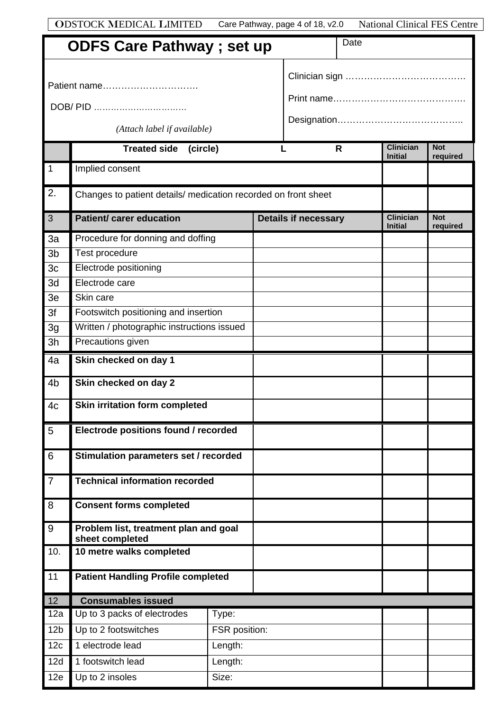| <b>ODSTOCK MEDICAL LIMITED</b> | Care Pathway, page 4 of 18, v2.0 | <b>National Clinical FES Centre</b> |
|--------------------------------|----------------------------------|-------------------------------------|
|--------------------------------|----------------------------------|-------------------------------------|

| <b>ODFS Care Pathway; set up</b> |                                                                |               | Date |                             |    |                                    |                        |  |
|----------------------------------|----------------------------------------------------------------|---------------|------|-----------------------------|----|------------------------------------|------------------------|--|
|                                  | Patient name                                                   |               |      |                             |    |                                    |                        |  |
|                                  | DOB/ PID                                                       |               |      |                             |    |                                    |                        |  |
|                                  |                                                                |               |      |                             |    |                                    |                        |  |
|                                  | (Attach label if available)                                    |               |      |                             |    |                                    |                        |  |
|                                  | Treated side (circle)                                          |               |      |                             | R. | <b>Clinician</b><br><b>Initial</b> | <b>Not</b><br>required |  |
| $\overline{1}$                   | Implied consent                                                |               |      |                             |    |                                    |                        |  |
| 2.                               | Changes to patient details/ medication recorded on front sheet |               |      |                             |    |                                    |                        |  |
| 3                                | <b>Patient/ carer education</b>                                |               |      | <b>Details if necessary</b> |    | <b>Clinician</b><br><b>Initial</b> | <b>Not</b><br>required |  |
| 3a                               | Procedure for donning and doffing                              |               |      |                             |    |                                    |                        |  |
| 3 <sub>b</sub>                   | Test procedure                                                 |               |      |                             |    |                                    |                        |  |
| 3 <sub>c</sub>                   | Electrode positioning                                          |               |      |                             |    |                                    |                        |  |
| 3d                               | Electrode care                                                 |               |      |                             |    |                                    |                        |  |
| 3e                               | Skin care                                                      |               |      |                             |    |                                    |                        |  |
| 3f                               | Footswitch positioning and insertion                           |               |      |                             |    |                                    |                        |  |
| 3g                               | Written / photographic instructions issued                     |               |      |                             |    |                                    |                        |  |
| 3h                               | Precautions given                                              |               |      |                             |    |                                    |                        |  |
| 4a                               | Skin checked on day 1                                          |               |      |                             |    |                                    |                        |  |
| 4 <sub>b</sub>                   | Skin checked on day 2                                          |               |      |                             |    |                                    |                        |  |
| 4c                               | <b>Skin irritation form completed</b>                          |               |      |                             |    |                                    |                        |  |
| 5                                | Electrode positions found / recorded                           |               |      |                             |    |                                    |                        |  |
| $6\phantom{1}6$                  | Stimulation parameters set / recorded                          |               |      |                             |    |                                    |                        |  |
| $\overline{7}$                   | <b>Technical information recorded</b>                          |               |      |                             |    |                                    |                        |  |
| 8                                | <b>Consent forms completed</b>                                 |               |      |                             |    |                                    |                        |  |
| $9$                              | Problem list, treatment plan and goal<br>sheet completed       |               |      |                             |    |                                    |                        |  |
| 10.                              | 10 metre walks completed                                       |               |      |                             |    |                                    |                        |  |
| 11                               | <b>Patient Handling Profile completed</b>                      |               |      |                             |    |                                    |                        |  |
| 12                               | <b>Consumables issued</b>                                      |               |      |                             |    |                                    |                        |  |
| 12a                              | Up to 3 packs of electrodes                                    | Type:         |      |                             |    |                                    |                        |  |
| 12 <sub>b</sub>                  | Up to 2 footswitches                                           | FSR position: |      |                             |    |                                    |                        |  |
| 12c                              | 1 electrode lead                                               | Length:       |      |                             |    |                                    |                        |  |
| 12d                              | 1 footswitch lead                                              | Length:       |      |                             |    |                                    |                        |  |
| 12e                              | Up to 2 insoles                                                | Size:         |      |                             |    |                                    |                        |  |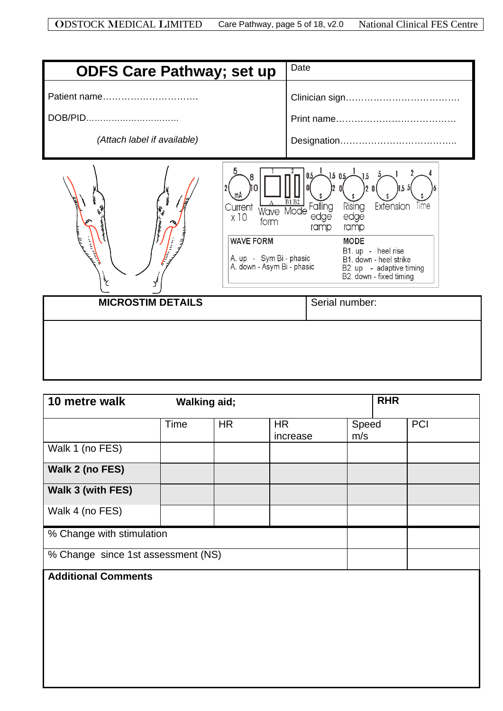| <b>ODFS Care Pathway; set up</b>                                                                                                                   | Date                                                                                                                                                                                                                                                                                                           |
|----------------------------------------------------------------------------------------------------------------------------------------------------|----------------------------------------------------------------------------------------------------------------------------------------------------------------------------------------------------------------------------------------------------------------------------------------------------------------|
| Patient name<br>DOB/PID<br>(Attach label if available)                                                                                             |                                                                                                                                                                                                                                                                                                                |
| ЛΟ<br>h.<br>C<br>Current<br>x10<br>form<br><b>WAVE FORM</b><br>A. up - Sym Bi - phasic<br>A. down - Asym Bi - phasic<br>$\mathcal{L}$<br>$\vec{y}$ | $1.5 \, 0.5 - \frac{1}{2}$<br>0.5<br>$_{\rm J.5}$<br>155<br>$\frac{A}{W}$ $\frac{\overline{B1} \overline{B2}}{W}$ Falling<br>Extension<br>Time<br>Rising<br>edge<br>edge<br>ramp<br>ramp<br><b>MODE</b><br>B1. up - heel rise<br>B1. down - heel strike<br>B2. up - adaptive timing<br>B2. down - fixed timing |
| <b>MICROSTIM DETAILS</b>                                                                                                                           | Serial number:                                                                                                                                                                                                                                                                                                 |
|                                                                                                                                                    |                                                                                                                                                                                                                                                                                                                |

| 10 metre walk                                                    | <b>Walking aid;</b> |           |                       |              | <b>RHR</b> |     |
|------------------------------------------------------------------|---------------------|-----------|-----------------------|--------------|------------|-----|
|                                                                  | Time                | <b>HR</b> | <b>HR</b><br>increase | Speed<br>m/s |            | PCI |
| Walk 1 (no FES)                                                  |                     |           |                       |              |            |     |
| Walk 2 (no FES)                                                  |                     |           |                       |              |            |     |
| Walk 3 (with FES)                                                |                     |           |                       |              |            |     |
| Walk 4 (no FES)                                                  |                     |           |                       |              |            |     |
| % Change with stimulation                                        |                     |           |                       |              |            |     |
|                                                                  |                     |           |                       |              |            |     |
| % Change since 1st assessment (NS)<br><b>Additional Comments</b> |                     |           |                       |              |            |     |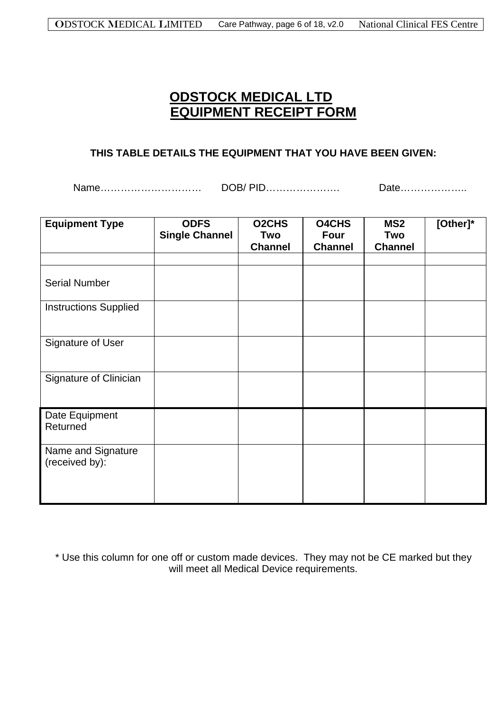#### **ODSTOCK MEDICAL LTD EQUIPMENT RECEIPT FORM**

#### **THIS TABLE DETAILS THE EQUIPMENT THAT YOU HAVE BEEN GIVEN:**

Name………………………… DOB/ PID…………………. Date………………..

| <b>Equipment Type</b>                | <b>ODFS</b><br><b>Single Channel</b> | <b>O2CHS</b><br>Two<br><b>Channel</b> | <b>O4CHS</b><br><b>Four</b><br><b>Channel</b> | MS <sub>2</sub><br>Two<br><b>Channel</b> | [Other]* |
|--------------------------------------|--------------------------------------|---------------------------------------|-----------------------------------------------|------------------------------------------|----------|
|                                      |                                      |                                       |                                               |                                          |          |
| <b>Serial Number</b>                 |                                      |                                       |                                               |                                          |          |
| <b>Instructions Supplied</b>         |                                      |                                       |                                               |                                          |          |
| Signature of User                    |                                      |                                       |                                               |                                          |          |
| Signature of Clinician               |                                      |                                       |                                               |                                          |          |
| Date Equipment<br>Returned           |                                      |                                       |                                               |                                          |          |
| Name and Signature<br>(received by): |                                      |                                       |                                               |                                          |          |

\* Use this column for one off or custom made devices. They may not be CE marked but they will meet all Medical Device requirements.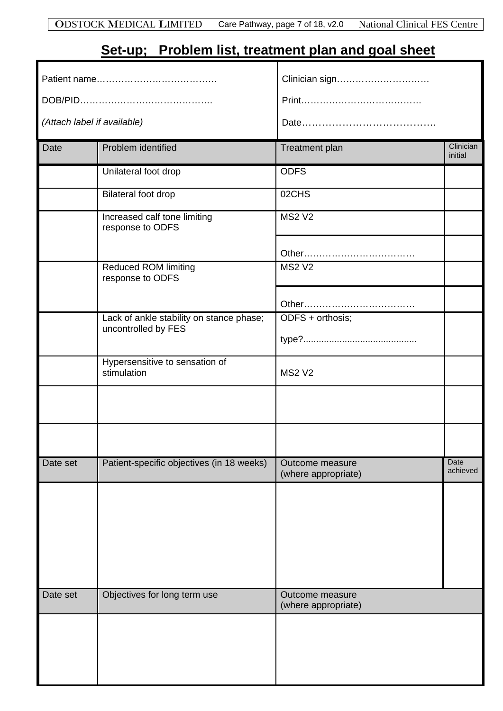## **Set-up; Problem list, treatment plan and goal sheet**

|                             |                                                                 | Clinician sign                         |                      |  |  |  |
|-----------------------------|-----------------------------------------------------------------|----------------------------------------|----------------------|--|--|--|
|                             |                                                                 |                                        |                      |  |  |  |
| (Attach label if available) |                                                                 |                                        |                      |  |  |  |
| Date                        | Problem identified                                              | <b>Treatment plan</b>                  | Clinician<br>initial |  |  |  |
|                             | Unilateral foot drop                                            | <b>ODFS</b>                            |                      |  |  |  |
|                             | Bilateral foot drop                                             | 02CHS                                  |                      |  |  |  |
|                             | Increased calf tone limiting<br>response to ODFS                | <b>MS2 V2</b>                          |                      |  |  |  |
|                             |                                                                 |                                        |                      |  |  |  |
|                             | Reduced ROM limiting<br>response to ODFS                        | <b>MS2 V2</b>                          |                      |  |  |  |
|                             |                                                                 |                                        |                      |  |  |  |
|                             | Lack of ankle stability on stance phase;<br>uncontrolled by FES | ODFS + orthosis;                       |                      |  |  |  |
|                             |                                                                 |                                        |                      |  |  |  |
|                             | Hypersensitive to sensation of<br>stimulation                   | <b>MS2 V2</b>                          |                      |  |  |  |
|                             |                                                                 |                                        |                      |  |  |  |
|                             |                                                                 |                                        |                      |  |  |  |
| Date set                    | Patient-specific objectives (in 18 weeks)                       | Outcome measure<br>(where appropriate) | Date<br>achieved     |  |  |  |
|                             |                                                                 |                                        |                      |  |  |  |
| Date set                    | Objectives for long term use                                    | Outcome measure<br>(where appropriate) |                      |  |  |  |
|                             |                                                                 |                                        |                      |  |  |  |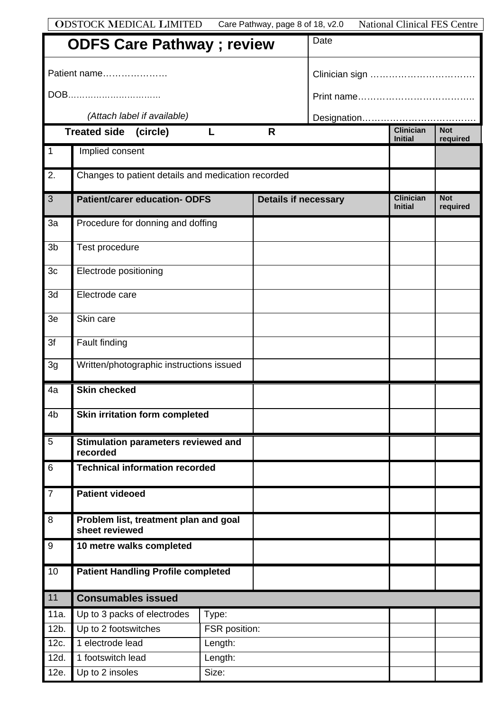|                                  | <b>ODSTOCK MEDICAL LIMITED</b>                          |               | Care Pathway, page 8 of 18, v2.0 |  | <b>National Clinical FES Centre</b> |                        |
|----------------------------------|---------------------------------------------------------|---------------|----------------------------------|--|-------------------------------------|------------------------|
| <b>ODFS Care Pathway; review</b> |                                                         |               | Date                             |  |                                     |                        |
| Patient name                     |                                                         |               |                                  |  |                                     |                        |
|                                  | DOB                                                     |               |                                  |  |                                     |                        |
|                                  | (Attach label if available)                             |               |                                  |  |                                     |                        |
|                                  | <b>Treated side</b><br>(circle)                         |               | $\mathsf{R}$                     |  | <b>Clinician</b><br><b>Initial</b>  | <b>Not</b><br>required |
| $\overline{1}$                   | Implied consent                                         |               |                                  |  |                                     |                        |
| $\overline{2}$ .                 | Changes to patient details and medication recorded      |               |                                  |  |                                     |                        |
| $\overline{3}$                   | <b>Patient/carer education- ODFS</b>                    |               | <b>Details if necessary</b>      |  | <b>Clinician</b><br><b>Initial</b>  | <b>Not</b><br>required |
| 3a                               | Procedure for donning and doffing                       |               |                                  |  |                                     |                        |
| 3 <sub>b</sub>                   | Test procedure                                          |               |                                  |  |                                     |                        |
| 3 <sub>c</sub>                   | Electrode positioning                                   |               |                                  |  |                                     |                        |
| 3d                               | Electrode care                                          |               |                                  |  |                                     |                        |
| 3e                               | Skin care                                               |               |                                  |  |                                     |                        |
| 3f                               | Fault finding                                           |               |                                  |  |                                     |                        |
| 3g                               | Written/photographic instructions issued                |               |                                  |  |                                     |                        |
| 4a                               | <b>Skin checked</b>                                     |               |                                  |  |                                     |                        |
| 4 <sub>b</sub>                   | Skin irritation form completed                          |               |                                  |  |                                     |                        |
| 5                                | Stimulation parameters reviewed and<br>recorded         |               |                                  |  |                                     |                        |
| $\,6\,$                          | <b>Technical information recorded</b>                   |               |                                  |  |                                     |                        |
| $\overline{7}$                   | <b>Patient videoed</b>                                  |               |                                  |  |                                     |                        |
| 8                                | Problem list, treatment plan and goal<br>sheet reviewed |               |                                  |  |                                     |                        |
| 9                                | 10 metre walks completed                                |               |                                  |  |                                     |                        |
| 10                               | <b>Patient Handling Profile completed</b>               |               |                                  |  |                                     |                        |
| 11                               | <b>Consumables issued</b>                               |               |                                  |  |                                     |                        |
| 11a.                             | Up to 3 packs of electrodes                             | Type:         |                                  |  |                                     |                        |
| 12b.                             | Up to 2 footswitches                                    | FSR position: |                                  |  |                                     |                        |
| 12c.                             | 1 electrode lead                                        | Length:       |                                  |  |                                     |                        |
| 12d.                             | 1 footswitch lead                                       | Length:       |                                  |  |                                     |                        |
| 12e.                             | Up to 2 insoles                                         | Size:         |                                  |  |                                     |                        |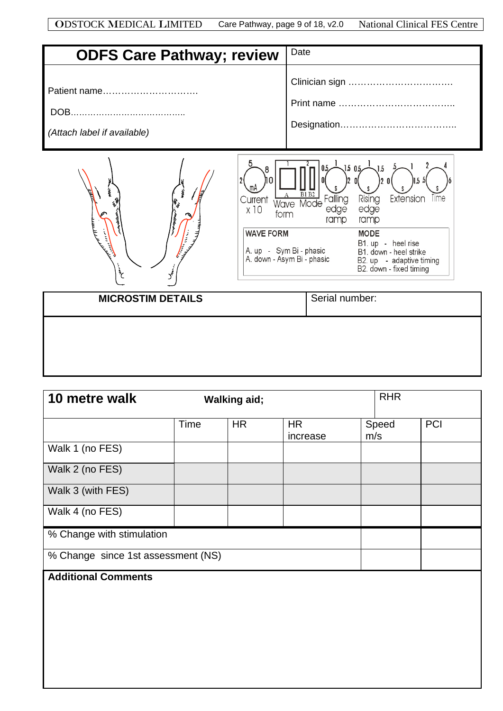| <b>ODFS Care Pathway; review</b>                                    | Date                                                                                                                                                                                                                                                                                                         |
|---------------------------------------------------------------------|--------------------------------------------------------------------------------------------------------------------------------------------------------------------------------------------------------------------------------------------------------------------------------------------------------------|
| Patient name<br>(Attach label if available)                         |                                                                                                                                                                                                                                                                                                              |
| Current<br>x10<br>form<br><b>WAVE FORM</b><br>نا<br>حج<br>$\vec{y}$ | 1.505<br>,1.5<br>15 :<br><b>B1 B2</b><br>Rising<br>Extension<br>Wave Mode Failing<br>Time<br>edge<br>edge<br>ramp<br>ramp<br><b>MODE</b><br>B1. up - heel rise<br>A. up   -   Sym Bi - phasic<br>A. down - Asym Bi - phasic<br>B1. down - heel strike<br>B2. up - adaptive timing<br>B2. down - fixed timing |
| <b>MICROSTIM DETAILS</b>                                            | Serial number:                                                                                                                                                                                                                                                                                               |
|                                                                     |                                                                                                                                                                                                                                                                                                              |

| 10 metre walk                      | <b>Walking aid;</b> |           |                       |  | <b>RHR</b>   |     |  |
|------------------------------------|---------------------|-----------|-----------------------|--|--------------|-----|--|
|                                    | Time                | <b>HR</b> | <b>HR</b><br>increase |  | Speed<br>m/s | PCI |  |
| Walk 1 (no FES)                    |                     |           |                       |  |              |     |  |
| Walk 2 (no FES)                    |                     |           |                       |  |              |     |  |
| Walk 3 (with FES)                  |                     |           |                       |  |              |     |  |
| Walk 4 (no FES)                    |                     |           |                       |  |              |     |  |
| % Change with stimulation          |                     |           |                       |  |              |     |  |
| % Change since 1st assessment (NS) |                     |           |                       |  |              |     |  |
| <b>Additional Comments</b>         |                     |           |                       |  |              |     |  |
|                                    |                     |           |                       |  |              |     |  |
|                                    |                     |           |                       |  |              |     |  |
|                                    |                     |           |                       |  |              |     |  |
|                                    |                     |           |                       |  |              |     |  |
|                                    |                     |           |                       |  |              |     |  |

I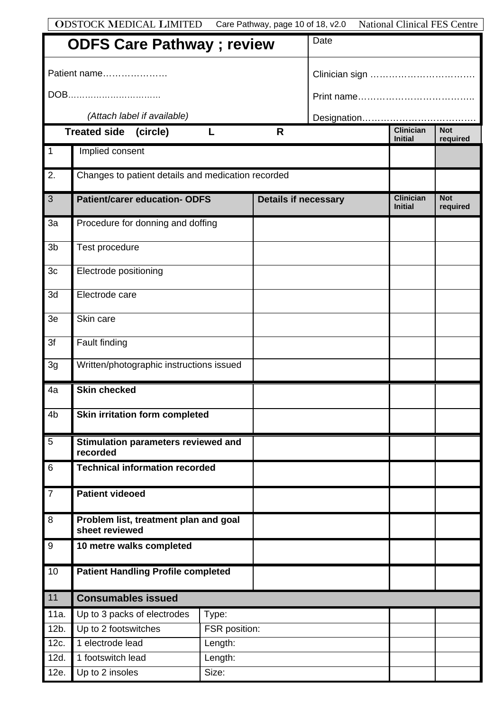|                                  | <b>ODSTOCK MEDICAL LIMITED</b>                          |               | Care Pathway, page 10 of 18, v2.0 |  | <b>National Clinical FES Centre</b> |                        |
|----------------------------------|---------------------------------------------------------|---------------|-----------------------------------|--|-------------------------------------|------------------------|
| <b>ODFS Care Pathway; review</b> |                                                         |               | Date                              |  |                                     |                        |
|                                  | Patient name                                            |               |                                   |  |                                     |                        |
|                                  | DOB                                                     |               |                                   |  |                                     |                        |
|                                  | (Attach label if available)                             |               |                                   |  |                                     |                        |
|                                  | Treated side (circle)                                   | L             | R                                 |  | <b>Clinician</b><br><b>Initial</b>  | <b>Not</b><br>required |
| $\overline{1}$                   | Implied consent                                         |               |                                   |  |                                     |                        |
| $\overline{2}$ .                 | Changes to patient details and medication recorded      |               |                                   |  |                                     |                        |
| $\overline{3}$                   | <b>Patient/carer education- ODFS</b>                    |               | <b>Details if necessary</b>       |  | <b>Clinician</b><br><b>Initial</b>  | <b>Not</b><br>required |
| 3a                               | Procedure for donning and doffing                       |               |                                   |  |                                     |                        |
| 3 <sub>b</sub>                   | Test procedure                                          |               |                                   |  |                                     |                        |
| 3 <sub>c</sub>                   | Electrode positioning                                   |               |                                   |  |                                     |                        |
| 3d                               | Electrode care                                          |               |                                   |  |                                     |                        |
| 3e                               | Skin care                                               |               |                                   |  |                                     |                        |
| 3f                               | Fault finding                                           |               |                                   |  |                                     |                        |
| 3g                               | Written/photographic instructions issued                |               |                                   |  |                                     |                        |
| 4a                               | <b>Skin checked</b>                                     |               |                                   |  |                                     |                        |
| 4 <sub>b</sub>                   | Skin irritation form completed                          |               |                                   |  |                                     |                        |
| $\overline{5}$                   | Stimulation parameters reviewed and<br>recorded         |               |                                   |  |                                     |                        |
| 6                                | <b>Technical information recorded</b>                   |               |                                   |  |                                     |                        |
| $\overline{7}$                   | <b>Patient videoed</b>                                  |               |                                   |  |                                     |                        |
| 8                                | Problem list, treatment plan and goal<br>sheet reviewed |               |                                   |  |                                     |                        |
| $\overline{9}$                   | 10 metre walks completed                                |               |                                   |  |                                     |                        |
| 10                               | <b>Patient Handling Profile completed</b>               |               |                                   |  |                                     |                        |
| $11$                             | <b>Consumables issued</b>                               |               |                                   |  |                                     |                        |
| 11a.                             | Up to 3 packs of electrodes                             | Type:         |                                   |  |                                     |                        |
| 12b.                             | Up to 2 footswitches                                    | FSR position: |                                   |  |                                     |                        |
| 12c.                             | 1 electrode lead                                        | Length:       |                                   |  |                                     |                        |
| 12d.                             | 1 footswitch lead<br>Length:                            |               |                                   |  |                                     |                        |
| 12e.                             | Size:<br>Up to 2 insoles                                |               |                                   |  |                                     |                        |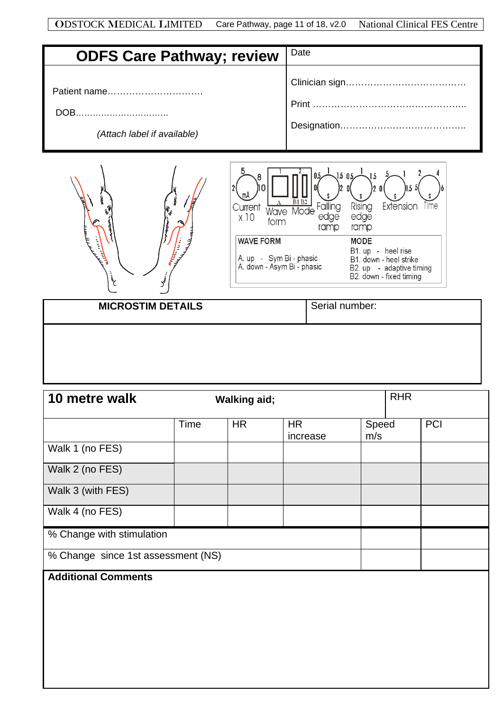| <b>ODSTOCK MEDICAL LIMITED</b> Care Pathway, page 11 of 18, v2.0 National Clinical FES Centre |  |  |
|-----------------------------------------------------------------------------------------------|--|--|
|-----------------------------------------------------------------------------------------------|--|--|

| <b>ODFS Care Pathway; review</b> | Date |
|----------------------------------|------|
| Patient name                     |      |
| DOB                              |      |
| (Attach label if available)      |      |





**MICROSTIM DETAILS** Serial number:

| 10 metre walk                      |      | <b>Walking aid;</b> |                       |              | <b>RHR</b> |            |
|------------------------------------|------|---------------------|-----------------------|--------------|------------|------------|
|                                    | Time | <b>HR</b>           | <b>HR</b><br>increase | Speed<br>m/s |            | <b>PCI</b> |
| Walk 1 (no FES)                    |      |                     |                       |              |            |            |
| Walk 2 (no FES)                    |      |                     |                       |              |            |            |
| Walk 3 (with FES)                  |      |                     |                       |              |            |            |
| Walk 4 (no FES)                    |      |                     |                       |              |            |            |
| % Change with stimulation          |      |                     |                       |              |            |            |
| % Change since 1st assessment (NS) |      |                     |                       |              |            |            |
| <b>Additional Comments</b>         |      |                     |                       |              |            |            |
|                                    |      |                     |                       |              |            |            |
|                                    |      |                     |                       |              |            |            |
|                                    |      |                     |                       |              |            |            |
|                                    |      |                     |                       |              |            |            |
|                                    |      |                     |                       |              |            |            |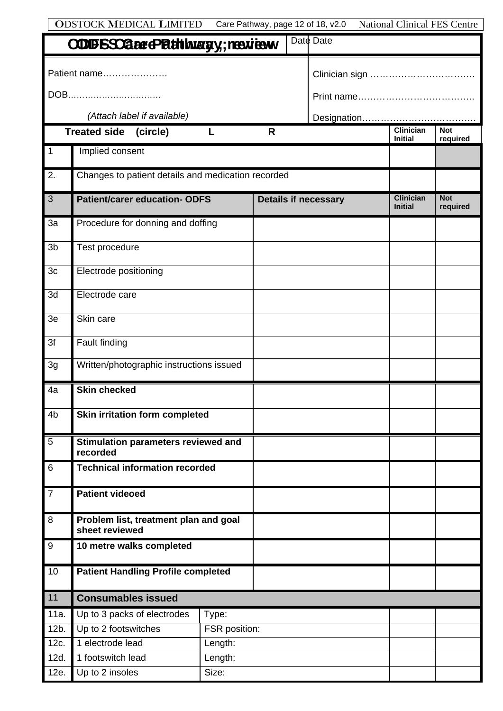| <b>ODSTOCK MEDICAL LIMITED</b><br>Care Pathway, page 12 of 18, v2.0<br><b>National Clinical FES Centre</b> |                                                         |               |   |  |                             |                                    |                        |
|------------------------------------------------------------------------------------------------------------|---------------------------------------------------------|---------------|---|--|-----------------------------|------------------------------------|------------------------|
|                                                                                                            | <b>COUFSSCaesePathingsy; resview</b>                    |               |   |  | Date Date                   |                                    |                        |
|                                                                                                            | Patient name                                            |               |   |  |                             |                                    |                        |
|                                                                                                            | DOB                                                     |               |   |  |                             |                                    |                        |
|                                                                                                            | (Attach label if available)                             |               |   |  |                             |                                    |                        |
|                                                                                                            | Treated side (circle)                                   |               | R |  |                             | <b>Clinician</b>                   | <b>Not</b>             |
| $\overline{1}$                                                                                             | Implied consent                                         |               |   |  |                             | <b>Initial</b>                     | required               |
| $\overline{2}$ .                                                                                           | Changes to patient details and medication recorded      |               |   |  |                             |                                    |                        |
| 3                                                                                                          | <b>Patient/carer education- ODFS</b>                    |               |   |  | <b>Details if necessary</b> | <b>Clinician</b><br><b>Initial</b> | <b>Not</b><br>required |
| 3a                                                                                                         | Procedure for donning and doffing                       |               |   |  |                             |                                    |                        |
| 3 <sub>b</sub>                                                                                             | Test procedure                                          |               |   |  |                             |                                    |                        |
| 3 <sub>c</sub>                                                                                             | Electrode positioning                                   |               |   |  |                             |                                    |                        |
| 3d                                                                                                         | Electrode care                                          |               |   |  |                             |                                    |                        |
| 3 <sub>e</sub>                                                                                             | Skin care                                               |               |   |  |                             |                                    |                        |
| $\overline{3f}$                                                                                            | Fault finding                                           |               |   |  |                             |                                    |                        |
| 3g                                                                                                         | Written/photographic instructions issued                |               |   |  |                             |                                    |                        |
| 4a                                                                                                         | <b>Skin checked</b>                                     |               |   |  |                             |                                    |                        |
| 4 <sub>b</sub>                                                                                             | Skin irritation form completed                          |               |   |  |                             |                                    |                        |
| 5                                                                                                          | Stimulation parameters reviewed and<br>recorded         |               |   |  |                             |                                    |                        |
| $6\phantom{1}6$                                                                                            | <b>Technical information recorded</b>                   |               |   |  |                             |                                    |                        |
| $\overline{7}$                                                                                             | <b>Patient videoed</b>                                  |               |   |  |                             |                                    |                        |
| $\, 8$                                                                                                     | Problem list, treatment plan and goal<br>sheet reviewed |               |   |  |                             |                                    |                        |
| $\boldsymbol{9}$                                                                                           | 10 metre walks completed                                |               |   |  |                             |                                    |                        |
| 10                                                                                                         | <b>Patient Handling Profile completed</b>               |               |   |  |                             |                                    |                        |
| 11                                                                                                         | <b>Consumables issued</b>                               |               |   |  |                             |                                    |                        |
| 11a.                                                                                                       | Up to 3 packs of electrodes                             | Type:         |   |  |                             |                                    |                        |
| 12b.                                                                                                       | Up to 2 footswitches                                    | FSR position: |   |  |                             |                                    |                        |
| 12c.                                                                                                       | 1 electrode lead<br>Length:                             |               |   |  |                             |                                    |                        |
| 12d.                                                                                                       | 1 footswitch lead                                       | Length:       |   |  |                             |                                    |                        |
| 12e.                                                                                                       | Size:<br>Up to 2 insoles                                |               |   |  |                             |                                    |                        |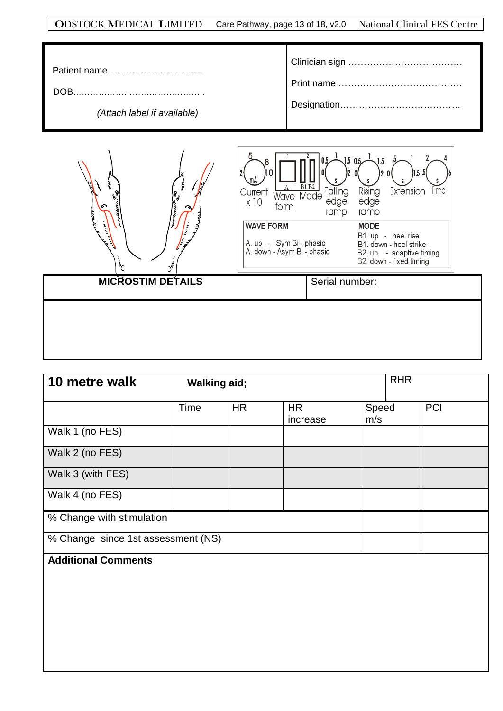#### ODSTOCK MEDICAL LIMITED Care Pathway, page 13 of 18, v2.0 National Clinical FES Centre

| (Attach label if available) |  |
|-----------------------------|--|



| 10 metre walk                      | <b>Walking aid;</b> |           |                       |              | <b>RHR</b> |     |
|------------------------------------|---------------------|-----------|-----------------------|--------------|------------|-----|
|                                    | <b>Time</b>         | <b>HR</b> | <b>HR</b><br>increase | Speed<br>m/s |            | PCI |
| Walk 1 (no FES)                    |                     |           |                       |              |            |     |
| Walk 2 (no FES)                    |                     |           |                       |              |            |     |
| Walk 3 (with FES)                  |                     |           |                       |              |            |     |
| Walk 4 (no FES)                    |                     |           |                       |              |            |     |
| % Change with stimulation          |                     |           |                       |              |            |     |
| % Change since 1st assessment (NS) |                     |           |                       |              |            |     |
| <b>Additional Comments</b>         |                     |           |                       |              |            |     |
|                                    |                     |           |                       |              |            |     |
|                                    |                     |           |                       |              |            |     |
|                                    |                     |           |                       |              |            |     |
|                                    |                     |           |                       |              |            |     |
|                                    |                     |           |                       |              |            |     |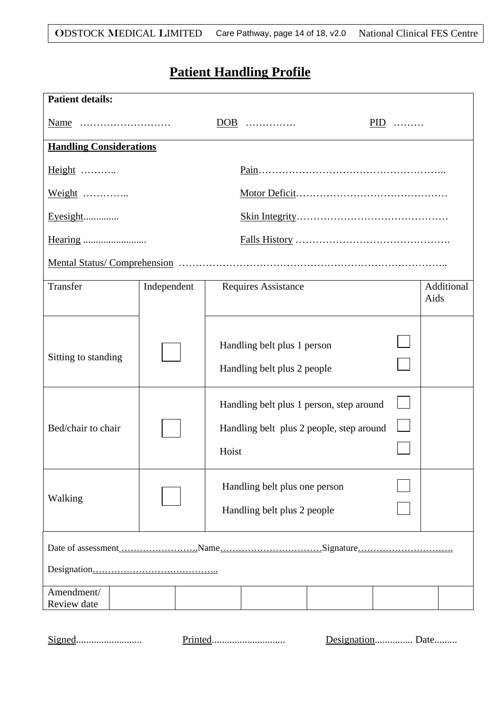## **Patient Handling Profile**

| <b>Patient details:</b>        |             |                                                                                               |       |                    |  |
|--------------------------------|-------------|-----------------------------------------------------------------------------------------------|-------|--------------------|--|
| Name                           |             | DOB                                                                                           | $PID$ |                    |  |
| <b>Handling Considerations</b> |             |                                                                                               |       |                    |  |
| Height                         |             |                                                                                               |       |                    |  |
| Weight                         |             |                                                                                               |       |                    |  |
| Eyesight                       |             |                                                                                               |       |                    |  |
| Hearing                        |             |                                                                                               |       |                    |  |
|                                |             |                                                                                               |       |                    |  |
| Transfer                       | Independent | <b>Requires Assistance</b>                                                                    |       | Additional<br>Aids |  |
| Sitting to standing            |             | Handling belt plus 1 person<br>Handling belt plus 2 people                                    |       |                    |  |
| Bed/chair to chair             |             | Handling belt plus 1 person, step around<br>Handling belt plus 2 people, step around<br>Hoist |       |                    |  |
| Walking                        |             | Handling belt plus one person<br>Handling belt plus 2 people                                  |       |                    |  |
|                                |             |                                                                                               |       |                    |  |
|                                |             |                                                                                               |       |                    |  |
| Amendment/<br>Review date      |             |                                                                                               |       |                    |  |
|                                |             |                                                                                               |       |                    |  |

Signed.......................... Printed............................. Designation............... Date.........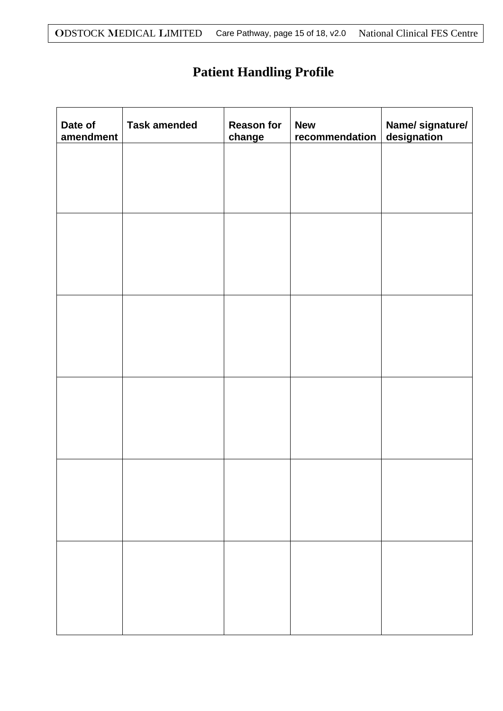## **Patient Handling Profile**

| Date of<br>amendment | <b>Task amended</b> | <b>Reason for</b><br>change | <b>New</b><br>recommendation | Name/ signature/<br>designation |
|----------------------|---------------------|-----------------------------|------------------------------|---------------------------------|
|                      |                     |                             |                              |                                 |
|                      |                     |                             |                              |                                 |
|                      |                     |                             |                              |                                 |
|                      |                     |                             |                              |                                 |
|                      |                     |                             |                              |                                 |
|                      |                     |                             |                              |                                 |
|                      |                     |                             |                              |                                 |
|                      |                     |                             |                              |                                 |
|                      |                     |                             |                              |                                 |
|                      |                     |                             |                              |                                 |
|                      |                     |                             |                              |                                 |
|                      |                     |                             |                              |                                 |
|                      |                     |                             |                              |                                 |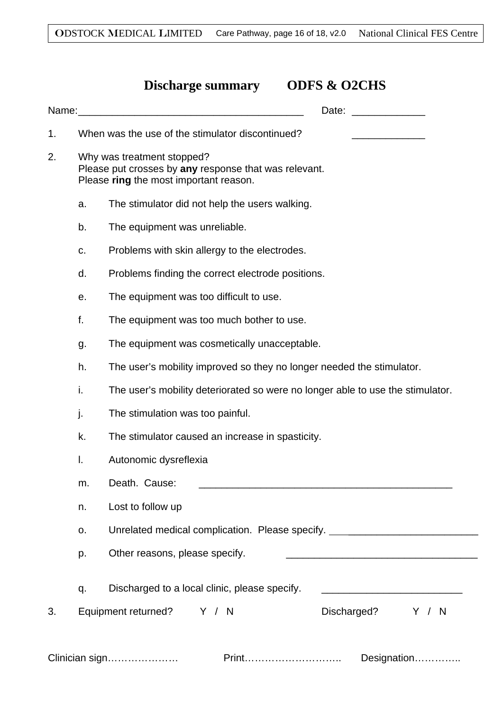### **Discharge summary ODFS & O2CHS**

|    |    | Name: Name: All and the state of the state of the state of the state of the state of the state of the state of the state of the state of the state of the state of the state of the state of the state of the state of the sta<br>Date: |  |  |  |  |  |
|----|----|-----------------------------------------------------------------------------------------------------------------------------------------------------------------------------------------------------------------------------------------|--|--|--|--|--|
| 1. |    | When was the use of the stimulator discontinued?                                                                                                                                                                                        |  |  |  |  |  |
| 2. |    | Why was treatment stopped?<br>Please put crosses by any response that was relevant.<br>Please ring the most important reason.                                                                                                           |  |  |  |  |  |
|    | a. | The stimulator did not help the users walking.                                                                                                                                                                                          |  |  |  |  |  |
|    | b. | The equipment was unreliable.                                                                                                                                                                                                           |  |  |  |  |  |
|    | c. | Problems with skin allergy to the electrodes.                                                                                                                                                                                           |  |  |  |  |  |
|    | d. | Problems finding the correct electrode positions.                                                                                                                                                                                       |  |  |  |  |  |
|    | е. | The equipment was too difficult to use.                                                                                                                                                                                                 |  |  |  |  |  |
|    | f. | The equipment was too much bother to use.                                                                                                                                                                                               |  |  |  |  |  |
|    | g. | The equipment was cosmetically unacceptable.                                                                                                                                                                                            |  |  |  |  |  |
|    | h. | The user's mobility improved so they no longer needed the stimulator.                                                                                                                                                                   |  |  |  |  |  |
|    | i. | The user's mobility deteriorated so were no longer able to use the stimulator.                                                                                                                                                          |  |  |  |  |  |
|    | j. | The stimulation was too painful.                                                                                                                                                                                                        |  |  |  |  |  |
|    | k. | The stimulator caused an increase in spasticity.                                                                                                                                                                                        |  |  |  |  |  |
|    | I. | Autonomic dysreflexia                                                                                                                                                                                                                   |  |  |  |  |  |
|    | m. | Death. Cause:<br><u> 2000 - 2000 - 2000 - 2000 - 2000 - 2000 - 2000 - 2000 - 2000 - 2000 - 2000 - 2000 - 2000 - 2000 - 2000 - 200</u>                                                                                                   |  |  |  |  |  |
|    | n. | Lost to follow up                                                                                                                                                                                                                       |  |  |  |  |  |
|    | о. | Unrelated medical complication. Please specify. ________________________________                                                                                                                                                        |  |  |  |  |  |
|    | p. | Other reasons, please specify.<br><u> 1989 - Johann John Stone, mars eta biztanleria (h. 1989).</u>                                                                                                                                     |  |  |  |  |  |
|    | q. | Discharged to a local clinic, please specify.<br><u> 1980 - Johann John Stone, mars eta biztanleria (</u>                                                                                                                               |  |  |  |  |  |
| 3. |    | Equipment returned? Y / N<br>Discharged?<br>Y / N                                                                                                                                                                                       |  |  |  |  |  |
|    |    | Print<br>Clinician sign<br>Designation                                                                                                                                                                                                  |  |  |  |  |  |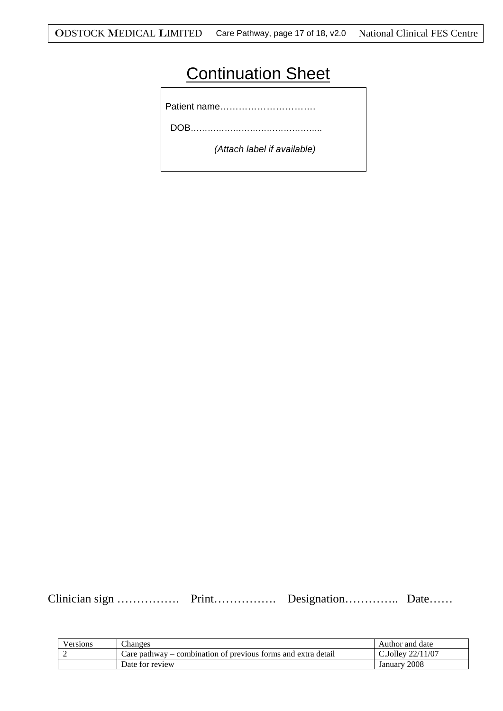## **Continuation Sheet**

Patient name………………………….

DOB………………………………………..

 *(Attach label if available)*

Clinician sign ……………. Print……………. Designation………….. Date……

| /ersions | Changes                                                             | Author and date           |
|----------|---------------------------------------------------------------------|---------------------------|
| -        | - combination of previous forms and extra detail<br>care<br>pathway | 22/11/07<br>$\sim$ Jollev |
|          | Date for review                                                     | 2008<br>January           |